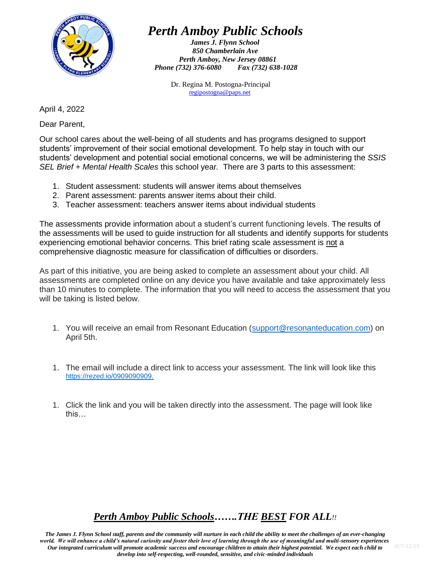

# *Perth Amboy Public Schools*

*James J. Flynn School 850 Chamberlain Ave Perth Amboy, New Jersey 08861 Phone (732) 376-6080 Fax (732) 638-1028*

> Dr. Regina M. Postogna-Principal [regipostogna@paps.net](mailto:regipostogna@paps.net)

April 4, 2022

Dear Parent,

Our school cares about the well-being of all students and has programs designed to support students' improvement of their social emotional development. To help stay in touch with our students' development and potential social emotional concerns, we will be administering the *SSIS SEL Brief + Mental Health Scales* this school year*.* There are 3 parts to this assessment:

- 1. Student assessment: students will answer items about themselves
- 2. Parent assessment: parents answer items about their child.
- 3. Teacher assessment: teachers answer items about individual students

The assessments provide information about a student's current functioning levels. The results of the assessments will be used to guide instruction for all students and identify supports for students experiencing emotional behavior concerns. This brief rating scale assessment is not a comprehensive diagnostic measure for classification of difficulties or disorders.

As part of this initiative, you are being asked to complete an assessment about your child. All assessments are completed online on any device you have available and take approximately less than 10 minutes to complete. The information that you will need to access the assessment that you will be taking is listed below.

- 1. You will receive an email from Resonant Education [\(support@resonanteducation.com\)](mailto:support@resonanteducation.com) on April 5th.
- 1. The email will include a direct link to access your assessment. The link will look like this <https://rezed.io/0909090909.>
- 1. Click the link and you will be taken directly into the assessment. The page will look like this…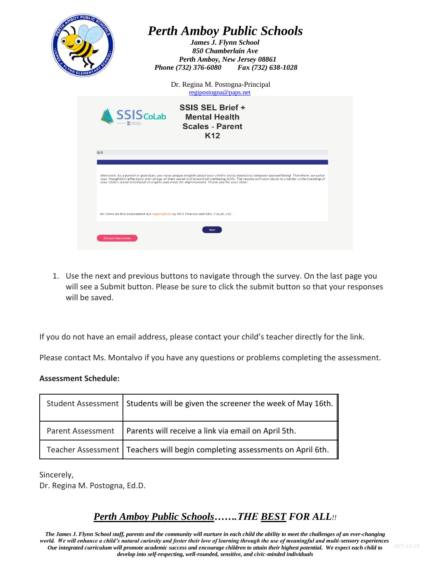

1. Use the next and previous buttons to navigate through the survey. On the last page you will see a Submit button. Please be sure to click the submit button so that your responses will be saved.

If you do not have an email address, please contact your child's teacher directly for the link.

Please contact Ms. Montalvo if you have any questions or problems completing the assessment.

#### **Assessment Schedule:**

|                   | Student Assessment   Students will be given the screener the week of May 16th. |
|-------------------|--------------------------------------------------------------------------------|
| Parent Assessment | Parents will receive a link via email on April 5th.                            |
|                   | Teacher Assessment   Teachers will begin completing assessments on April 6th.  |

Sincerely, Dr. Regina M. Postogna, Ed.D.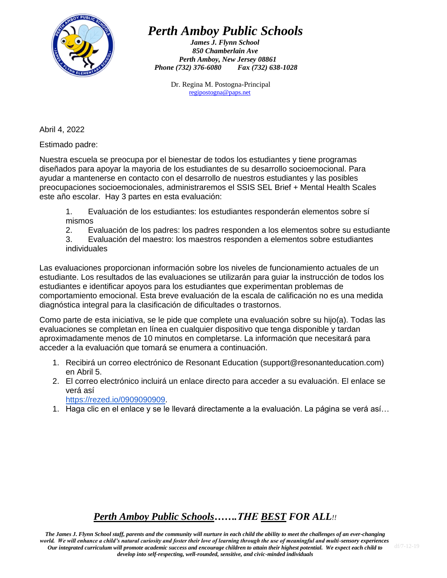

# *Perth Amboy Public Schools*

*James J. Flynn School 850 Chamberlain Ave Perth Amboy, New Jersey 08861 Phone (732) 376-6080 Fax (732) 638-1028*

> Dr. Regina M. Postogna-Principal [regipostogna@paps.net](mailto:regipostogna@paps.net)

Abril 4, 2022

Estimado padre:

Nuestra escuela se preocupa por el bienestar de todos los estudiantes y tiene programas diseñados para apoyar la mayoria de los estudiantes de su desarrollo socioemocional. Para ayudar a mantenerse en contacto con el desarrollo de nuestros estudiantes y las posibles preocupaciones socioemocionales, administraremos el SSIS SEL Brief + Mental Health Scales este año escolar. Hay 3 partes en esta evaluación:

1. Evaluación de los estudiantes: los estudiantes responderán elementos sobre sí mismos

2. Evaluación de los padres: los padres responden a los elementos sobre su estudiante

3. Evaluación del maestro: los maestros responden a elementos sobre estudiantes individuales

Las evaluaciones proporcionan información sobre los niveles de funcionamiento actuales de un estudiante. Los resultados de las evaluaciones se utilizarán para guiar la instrucción de todos los estudiantes e identificar apoyos para los estudiantes que experimentan problemas de comportamiento emocional. Esta breve evaluación de la escala de calificación no es una medida diagnóstica integral para la clasificación de dificultades o trastornos.

Como parte de esta iniciativa, se le pide que complete una evaluación sobre su hijo(a). Todas las evaluaciones se completan en línea en cualquier dispositivo que tenga disponible y tardan aproximadamente menos de 10 minutos en completarse. La información que necesitará para acceder a la evaluación que tomará se enumera a continuación.

- 1. Recibirá un correo electrónico de Resonant Education (support@resonanteducation.com) en Abril 5.
- 2. El correo electrónico incluirá un enlace directo para acceder a su evaluación. El enlace se verá así

[https://rezed.io/0909090909.](https://rezed.io/0909090909)

1. Haga clic en el enlace y se le llevará directamente a la evaluación. La página se verá así…